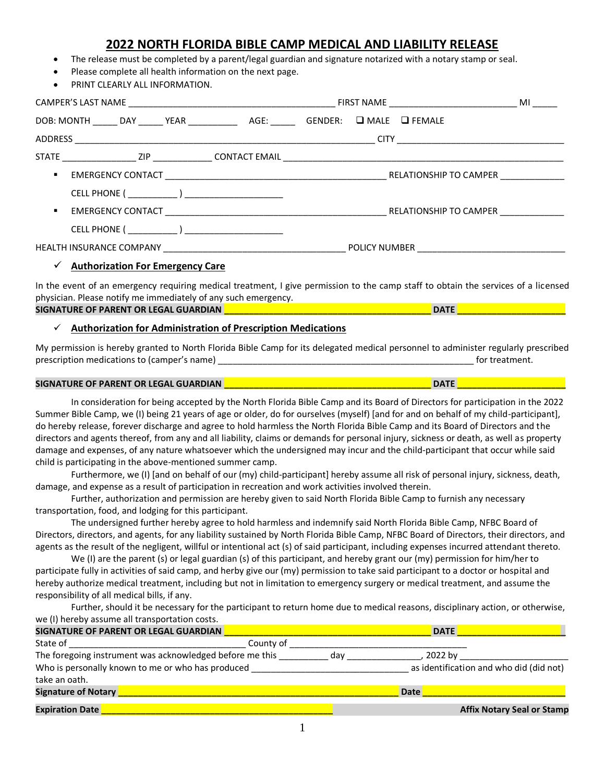# **2022 NORTH FLORIDA BIBLE CAMP MEDICAL AND LIABILITY RELEASE**

- The release must be completed by a parent/legal guardian and signature notarized with a notary stamp or seal.
- Please complete all health information on the next page.
- PRINT CLEARLY ALL INFORMATION

|                  |                                                                                       |  |                                                        | <b>MI</b>                                                                                                                                                                                                                            |  |  |  |
|------------------|---------------------------------------------------------------------------------------|--|--------------------------------------------------------|--------------------------------------------------------------------------------------------------------------------------------------------------------------------------------------------------------------------------------------|--|--|--|
|                  | DOB: MONTH ______ DAY ______ YEAR ______________ AGE: _______ GENDER: Q MALE Q FEMALE |  |                                                        |                                                                                                                                                                                                                                      |  |  |  |
|                  |                                                                                       |  |                                                        |                                                                                                                                                                                                                                      |  |  |  |
|                  |                                                                                       |  |                                                        |                                                                                                                                                                                                                                      |  |  |  |
| $\blacksquare$ . |                                                                                       |  |                                                        | EMERGENCY CONTACT <b>Example 20 ACCOUNT 2012 12:00 ACCOUNT 2013 12:00 ACCOUNT 2013 12:00 ACCOUNT 2013 12:00 ACCOUNT 2014 12:00 ACCOUNT 2014 12:00 ACCOUNT 2014 12:00 ACCOUNT 2014 12:00 ACCOUNT 20:00 ACCOUNT 20:00 ACCOUNT 20:0</b> |  |  |  |
|                  |                                                                                       |  |                                                        |                                                                                                                                                                                                                                      |  |  |  |
|                  |                                                                                       |  |                                                        |                                                                                                                                                                                                                                      |  |  |  |
|                  |                                                                                       |  |                                                        |                                                                                                                                                                                                                                      |  |  |  |
|                  |                                                                                       |  | HEALTH INSURANCE COMPANY THE RELEASED OF POLICY NUMBER |                                                                                                                                                                                                                                      |  |  |  |
|                  | $\checkmark$ Authorization For Emergency Care                                         |  |                                                        |                                                                                                                                                                                                                                      |  |  |  |

In the event of an emergency requiring medical treatment, I give permission to the camp staff to obtain the services of a licensed physician. Please notify me immediately of any such emergency. **SIGNATURE OF PARENT OR LEGAL GUARDIAN \_\_\_\_\_\_\_\_\_\_\_\_\_\_\_\_\_\_\_\_\_\_\_\_\_\_\_\_\_\_\_\_\_\_\_\_\_\_\_\_\_\_ DATE \_\_\_\_\_\_\_\_\_\_\_\_\_\_\_\_\_\_\_\_\_\_**

✓ **Authorization for Administration of Prescription Medications**

My permission is hereby granted to North Florida Bible Camp for its delegated medical personnel to administer regularly prescribed prescription medications to (camper's name) **and the set of the set of the set of the set of the set of the set of the set of the set of the set of the set of the set of the set of the set of the set of the set of the set** 

#### **SIGNATURE OF PARENT OR LEGAL GUARDIAN \_\_\_\_\_\_\_\_\_\_\_\_\_\_\_\_\_\_\_\_\_\_\_\_\_\_\_\_\_\_\_\_\_\_\_\_\_\_\_\_\_\_ DATE \_\_\_\_\_\_\_\_\_\_\_\_\_\_\_\_\_\_\_\_\_\_**

In consideration for being accepted by the North Florida Bible Camp and its Board of Directors for participation in the 2022 Summer Bible Camp, we (I) being 21 years of age or older, do for ourselves (myself) [and for and on behalf of my child-participant], do hereby release, forever discharge and agree to hold harmless the North Florida Bible Camp and its Board of Directors and the directors and agents thereof, from any and all liability, claims or demands for personal injury, sickness or death, as well as property damage and expenses, of any nature whatsoever which the undersigned may incur and the child-participant that occur while said child is participating in the above-mentioned summer camp.

Furthermore, we (I) [and on behalf of our (my) child-participant] hereby assume all risk of personal injury, sickness, death, damage, and expense as a result of participation in recreation and work activities involved therein.

Further, authorization and permission are hereby given to said North Florida Bible Camp to furnish any necessary transportation, food, and lodging for this participant.

The undersigned further hereby agree to hold harmless and indemnify said North Florida Bible Camp, NFBC Board of Directors, directors, and agents, for any liability sustained by North Florida Bible Camp, NFBC Board of Directors, their directors, and agents as the result of the negligent, willful or intentional act (s) of said participant, including expenses incurred attendant thereto.

We (I) are the parent (s) or legal guardian (s) of this participant, and hereby grant our (my) permission for him/her to participate fully in activities of said camp, and herby give our (my) permission to take said participant to a doctor or hospital and hereby authorize medical treatment, including but not in limitation to emergency surgery or medical treatment, and assume the responsibility of all medical bills, if any.

Further, should it be necessary for the participant to return home due to medical reasons, disciplinary action, or otherwise, we (I) hereby assume all transportation costs.

| <b>SIGNATURE OF PARENT OR LEGAL GUARDIAN</b>             | <b>DATE</b>                             |
|----------------------------------------------------------|-----------------------------------------|
| State of<br>County of                                    |                                         |
| The foregoing instrument was acknowledged before me this | , 2022 by<br>dav                        |
| Who is personally known to me or who has produced        | as identification and who did (did not) |
| take an oath.                                            |                                         |
| <b>Signature of Notary</b>                               | <b>Date</b>                             |
| <b>Expiration Date</b>                                   | <b>Affix Notary Seal or Stamp</b>       |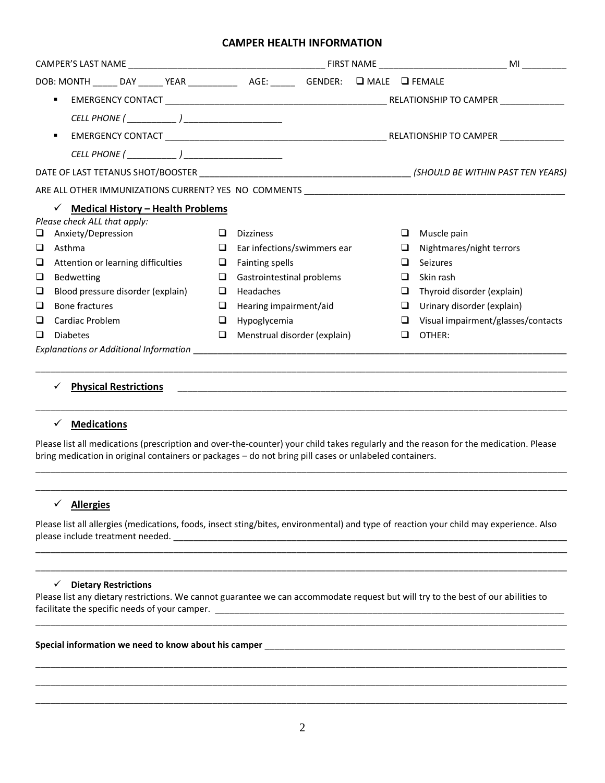# **CAMPER HEALTH INFORMATION**

|        | DOB: MONTH ______ DAY ______ YEAR _______________ AGE: _______ GENDER: Q MALE Q FEMALE |        |                              |  |        |                                    |  |
|--------|----------------------------------------------------------------------------------------|--------|------------------------------|--|--------|------------------------------------|--|
|        | $\blacksquare$                                                                         |        |                              |  |        |                                    |  |
|        |                                                                                        |        |                              |  |        |                                    |  |
|        | $\blacksquare$                                                                         |        |                              |  |        |                                    |  |
|        |                                                                                        |        |                              |  |        |                                    |  |
|        |                                                                                        |        |                              |  |        |                                    |  |
|        |                                                                                        |        |                              |  |        |                                    |  |
|        | $\checkmark$ Medical History - Health Problems                                         |        |                              |  |        |                                    |  |
|        | Please check ALL that apply:                                                           |        |                              |  |        |                                    |  |
| ч      | Anxiety/Depression                                                                     | □      | <b>Dizziness</b>             |  | $\Box$ | Muscle pain                        |  |
| $\Box$ | Asthma                                                                                 | $\Box$ | Ear infections/swimmers ear  |  | $\Box$ | Nightmares/night terrors           |  |
| ❏      | Attention or learning difficulties                                                     | ⊔      | <b>Fainting spells</b>       |  |        | Seizures                           |  |
| □      | <b>Bedwetting</b>                                                                      | $\Box$ | Gastrointestinal problems    |  | ⊔      | Skin rash                          |  |
| □      | Blood pressure disorder (explain)                                                      | $\Box$ | Headaches                    |  | □      | Thyroid disorder (explain)         |  |
| □      | Bone fractures                                                                         | $\Box$ | Hearing impairment/aid       |  | $\Box$ | Urinary disorder (explain)         |  |
| □      | Cardiac Problem                                                                        | □      | Hypoglycemia                 |  | $\Box$ | Visual impairment/glasses/contacts |  |
| ப      | <b>Diabetes</b>                                                                        | ❏      | Menstrual disorder (explain) |  | ❏      | OTHER:                             |  |
|        |                                                                                        |        |                              |  |        |                                    |  |
|        |                                                                                        |        |                              |  |        |                                    |  |

### ✓ **Physical Restrictions** \_\_\_\_\_\_\_\_\_\_\_\_\_\_\_\_\_\_\_\_\_\_\_\_\_\_\_\_\_\_\_\_\_\_\_\_\_\_\_\_\_\_\_\_\_\_\_\_\_\_\_\_\_\_\_\_\_\_\_\_\_\_\_\_\_\_\_\_\_\_\_\_\_\_\_\_\_\_\_

# ✓ **Medications**

Please list all medications (prescription and over-the-counter) your child takes regularly and the reason for the medication. Please bring medication in original containers or packages – do not bring pill cases or unlabeled containers.

\_\_\_\_\_\_\_\_\_\_\_\_\_\_\_\_\_\_\_\_\_\_\_\_\_\_\_\_\_\_\_\_\_\_\_\_\_\_\_\_\_\_\_\_\_\_\_\_\_\_\_\_\_\_\_\_\_\_\_\_\_\_\_\_\_\_\_\_\_\_\_\_\_\_\_\_\_\_\_\_\_\_\_\_\_\_\_\_\_\_\_\_\_\_\_\_\_\_\_\_\_\_\_\_\_\_\_\_ \_\_\_\_\_\_\_\_\_\_\_\_\_\_\_\_\_\_\_\_\_\_\_\_\_\_\_\_\_\_\_\_\_\_\_\_\_\_\_\_\_\_\_\_\_\_\_\_\_\_\_\_\_\_\_\_\_\_\_\_\_\_\_\_\_\_\_\_\_\_\_\_\_\_\_\_\_\_\_\_\_\_\_\_\_\_\_\_\_\_\_\_\_\_\_\_\_\_\_\_\_\_\_\_\_\_\_\_

\_\_\_\_\_\_\_\_\_\_\_\_\_\_\_\_\_\_\_\_\_\_\_\_\_\_\_\_\_\_\_\_\_\_\_\_\_\_\_\_\_\_\_\_\_\_\_\_\_\_\_\_\_\_\_\_\_\_\_\_\_\_\_\_\_\_\_\_\_\_\_\_\_\_\_\_\_\_\_\_\_\_\_\_\_\_\_\_\_\_\_\_\_\_\_\_\_\_\_\_\_\_\_\_\_\_\_\_

### ✓ **Allergies**

Please list all allergies (medications, foods, insect sting/bites, environmental) and type of reaction your child may experience. Also please include treatment needed.

\_\_\_\_\_\_\_\_\_\_\_\_\_\_\_\_\_\_\_\_\_\_\_\_\_\_\_\_\_\_\_\_\_\_\_\_\_\_\_\_\_\_\_\_\_\_\_\_\_\_\_\_\_\_\_\_\_\_\_\_\_\_\_\_\_\_\_\_\_\_\_\_\_\_\_\_\_\_\_\_\_\_\_\_\_\_\_\_\_\_\_\_\_\_\_\_\_\_\_\_\_\_\_\_\_\_\_\_ \_\_\_\_\_\_\_\_\_\_\_\_\_\_\_\_\_\_\_\_\_\_\_\_\_\_\_\_\_\_\_\_\_\_\_\_\_\_\_\_\_\_\_\_\_\_\_\_\_\_\_\_\_\_\_\_\_\_\_\_\_\_\_\_\_\_\_\_\_\_\_\_\_\_\_\_\_\_\_\_\_\_\_\_\_\_\_\_\_\_\_\_\_\_\_\_\_\_\_\_\_\_\_\_\_\_\_\_

### ✓ **Dietary Restrictions**

Please list any dietary restrictions. We cannot guarantee we can accommodate request but will try to the best of our abilities to facilitate the specific needs of your camper. \_\_\_\_\_\_\_\_\_\_\_\_\_\_\_\_\_\_\_\_\_\_\_\_\_\_\_\_\_\_\_\_\_\_

\_\_\_\_\_\_\_\_\_\_\_\_\_\_\_\_\_\_\_\_\_\_\_\_\_\_\_\_\_\_\_\_\_\_\_\_\_\_\_\_\_\_\_\_\_\_\_\_\_\_\_\_\_\_\_\_\_\_\_\_\_\_\_\_\_\_\_\_\_\_\_\_\_\_\_\_\_\_\_\_\_\_\_\_\_\_\_\_\_\_\_\_\_\_\_\_\_\_\_\_\_\_\_\_\_\_\_\_

\_\_\_\_\_\_\_\_\_\_\_\_\_\_\_\_\_\_\_\_\_\_\_\_\_\_\_\_\_\_\_\_\_\_\_\_\_\_\_\_\_\_\_\_\_\_\_\_\_\_\_\_\_\_\_\_\_\_\_\_\_\_\_\_\_\_\_\_\_\_\_\_\_\_\_\_\_\_\_\_\_\_\_\_\_\_\_\_\_\_\_\_\_\_\_\_\_\_\_\_\_\_\_\_\_\_\_\_ \_\_\_\_\_\_\_\_\_\_\_\_\_\_\_\_\_\_\_\_\_\_\_\_\_\_\_\_\_\_\_\_\_\_\_\_\_\_\_\_\_\_\_\_\_\_\_\_\_\_\_\_\_\_\_\_\_\_\_\_\_\_\_\_\_\_\_\_\_\_\_\_\_\_\_\_\_\_\_\_\_\_\_\_\_\_\_\_\_\_\_\_\_\_\_\_\_\_\_\_\_\_\_\_\_\_\_\_ \_\_\_\_\_\_\_\_\_\_\_\_\_\_\_\_\_\_\_\_\_\_\_\_\_\_\_\_\_\_\_\_\_\_\_\_\_\_\_\_\_\_\_\_\_\_\_\_\_\_\_\_\_\_\_\_\_\_\_\_\_\_\_\_\_\_\_\_\_\_\_\_\_\_\_\_\_\_\_\_\_\_\_\_\_\_\_\_\_\_\_\_\_\_\_\_\_\_\_\_\_\_\_\_\_\_\_\_

#### **Special information we need to know about his camper** \_\_\_\_\_\_\_\_\_\_\_\_\_\_\_\_\_\_\_\_\_\_\_\_\_\_\_\_\_\_\_\_\_\_\_\_\_\_\_\_\_\_\_\_\_\_\_\_\_\_\_\_\_\_\_\_\_\_\_\_\_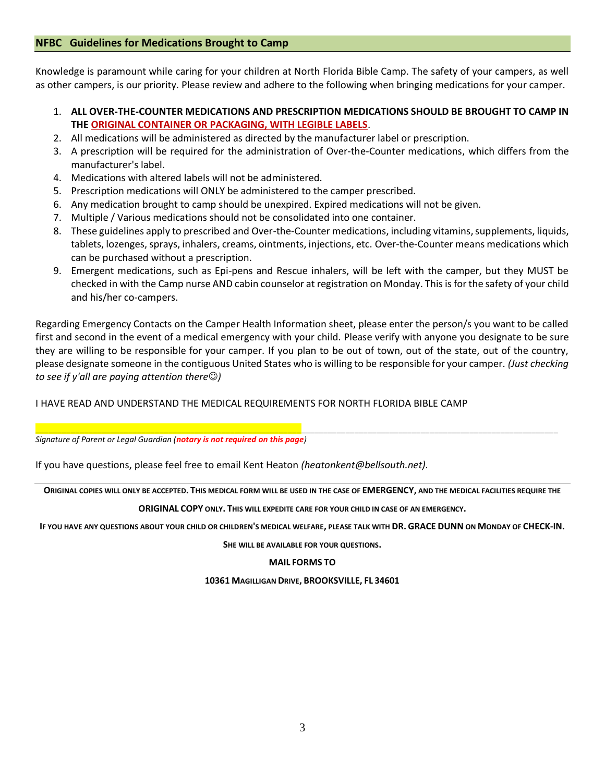## **NFBC Guidelines for Medications Brought to Camp**

Knowledge is paramount while caring for your children at North Florida Bible Camp. The safety of your campers, as well as other campers, is our priority. Please review and adhere to the following when bringing medications for your camper.

- 1. **ALL OVER-THE-COUNTER MEDICATIONS AND PRESCRIPTION MEDICATIONS SHOULD BE BROUGHT TO CAMP IN THE ORIGINAL CONTAINER OR PACKAGING, WITH LEGIBLE LABELS**.
- 2. All medications will be administered as directed by the manufacturer label or prescription.
- 3. A prescription will be required for the administration of Over-the-Counter medications, which differs from the manufacturer's label.
- 4. Medications with altered labels will not be administered.
- 5. Prescription medications will ONLY be administered to the camper prescribed.
- 6. Any medication brought to camp should be unexpired. Expired medications will not be given.
- 7. Multiple / Various medications should not be consolidated into one container.
- 8. These guidelines apply to prescribed and Over-the-Counter medications, including vitamins, supplements, liquids, tablets, lozenges, sprays, inhalers, creams, ointments, injections, etc. Over-the-Counter means medications which can be purchased without a prescription.
- 9. Emergent medications, such as Epi-pens and Rescue inhalers, will be left with the camper, but they MUST be checked in with the Camp nurse AND cabin counselor at registration on Monday. This is for the safety of your child and his/her co-campers.

Regarding Emergency Contacts on the Camper Health Information sheet, please enter the person/s you want to be called first and second in the event of a medical emergency with your child. Please verify with anyone you designate to be sure they are willing to be responsible for your camper. If you plan to be out of town, out of the state, out of the country, please designate someone in the contiguous United States who is willing to be responsible for your camper. *(Just checking to see if y'all are paying attention there*☺*)*

# I HAVE READ AND UNDERSTAND THE MEDICAL REQUIREMENTS FOR NORTH FLORIDA BIBLE CAMP

*Signature of Parent or Legal Guardian (notary is not required on this page)*

If you have questions, please feel free to email Kent Heaton *(heatonkent@bellsouth.net).*

**ORIGINAL COPIES WILL ONLY BE ACCEPTED. THIS MEDICAL FORM WILL BE USED IN THE CASE OF EMERGENCY, AND THE MEDICAL FACILITIES REQUIRE THE** 

\_\_\_\_\_\_\_\_\_\_\_\_\_\_\_\_\_\_\_\_\_\_\_\_\_\_\_\_\_\_\_\_\_\_\_\_\_\_\_\_\_\_\_\_\_\_\_\_\_\_\_\_\_\_\_\_\_\_\_\_\_\_\_\_\_\_\_\_\_\_\_\_\_\_\_\_\_\_\_\_\_\_\_\_\_\_\_\_\_\_\_\_\_\_\_\_\_\_\_\_\_\_\_\_\_\_\_\_\_\_\_\_\_\_\_\_\_\_

### **ORIGINAL COPY ONLY. THIS WILL EXPEDITE CARE FOR YOUR CHILD IN CASE OF AN EMERGENCY.**

**IF YOU HAVE ANY QUESTIONS ABOUT YOUR CHILD OR CHILDREN'S MEDICAL WELFARE, PLEASE TALK WITH DR. GRACE DUNN ON MONDAY OF CHECK-IN.**

**SHE WILL BE AVAILABLE FOR YOUR QUESTIONS.**

### **MAIL FORMS TO**

#### **10361 MAGILLIGAN DRIVE, BROOKSVILLE, FL 34601**